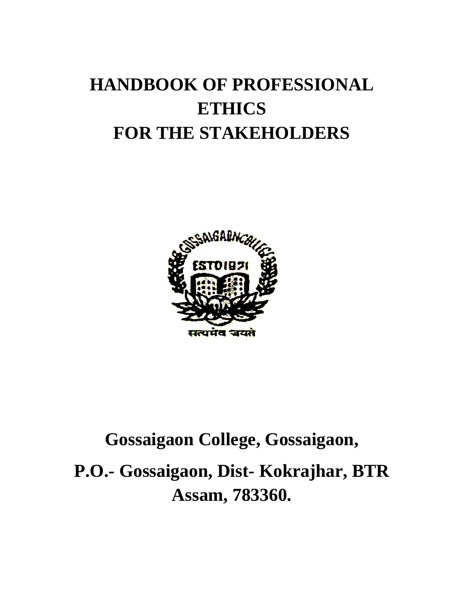# **HANDBOOK OF PROFESSIONAL ETHICS FOR THE STAKEHOLDERS**



# **Gossaigaon College, Gossaigaon, P.O.- Gossaigaon, Dist- Kokrajhar, BTR Assam, 783360.**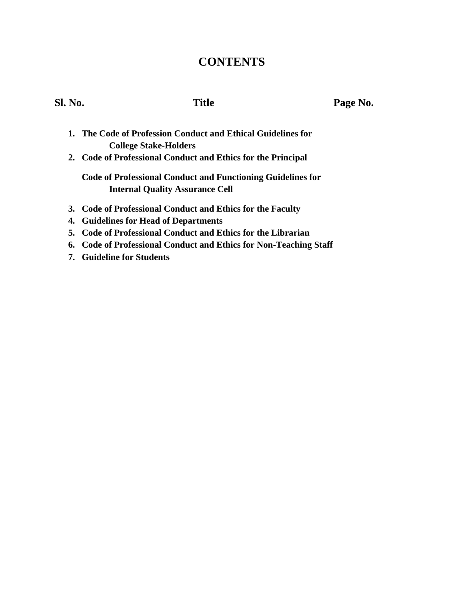# **CONTENTS**

Sl. No. **Title Page No.** 

- **1. The Code of Profession Conduct and Ethical Guidelines for College Stake-Holders**
- **2. Code of Professional Conduct and Ethics for the Principal**

**Code of Professional Conduct and Functioning Guidelines for Internal Quality Assurance Cell**

- **3. Code of Professional Conduct and Ethics for the Faculty**
- **4. Guidelines for Head of Departments**
- **5. Code of Professional Conduct and Ethics for the Librarian**
- **6. Code of Professional Conduct and Ethics for Non-Teaching Staff**
- **7. Guideline for Students**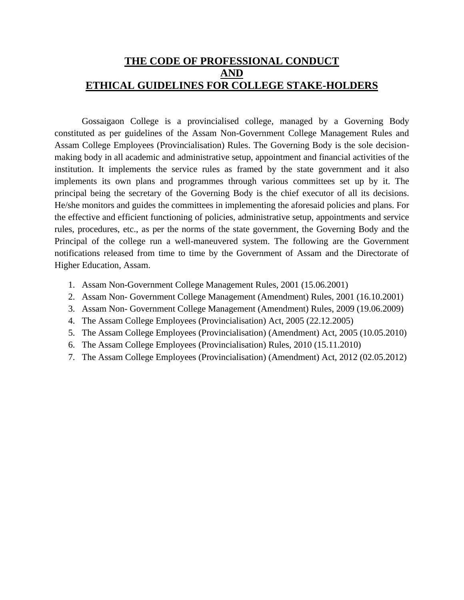# **THE CODE OF PROFESSIONAL CONDUCT AND ETHICAL GUIDELINES FOR COLLEGE STAKE-HOLDERS**

Gossaigaon College is a provincialised college, managed by a Governing Body constituted as per guidelines of the Assam Non-Government College Management Rules and Assam College Employees (Provincialisation) Rules. The Governing Body is the sole decisionmaking body in all academic and administrative setup, appointment and financial activities of the institution. It implements the service rules as framed by the state government and it also implements its own plans and programmes through various committees set up by it. The principal being the secretary of the Governing Body is the chief executor of all its decisions. He/she monitors and guides the committees in implementing the aforesaid policies and plans. For the effective and efficient functioning of policies, administrative setup, appointments and service rules, procedures, etc., as per the norms of the state government, the Governing Body and the Principal of the college run a well-maneuvered system. The following are the Government notifications released from time to time by the Government of Assam and the Directorate of Higher Education, Assam.

- 1. Assam Non-Government College Management Rules, 2001 (15.06.2001)
- 2. Assam Non- Government College Management (Amendment) Rules, 2001 (16.10.2001)
- 3. Assam Non- Government College Management (Amendment) Rules, 2009 (19.06.2009)
- 4. The Assam College Employees (Provincialisation) Act, 2005 (22.12.2005)
- 5. The Assam College Employees (Provincialisation) (Amendment) Act, 2005 (10.05.2010)
- 6. The Assam College Employees (Provincialisation) Rules, 2010 (15.11.2010)
- 7. The Assam College Employees (Provincialisation) (Amendment) Act, 2012 (02.05.2012)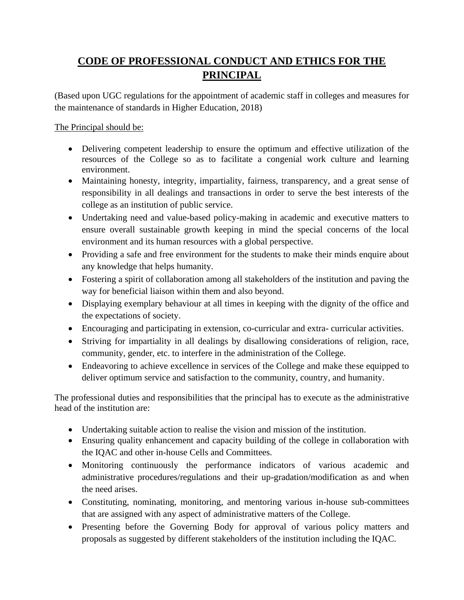# **CODE OF PROFESSIONAL CONDUCT AND ETHICS FOR THE PRINCIPAL**

(Based upon UGC regulations for the appointment of academic staff in colleges and measures for the maintenance of standards in Higher Education, 2018)

The Principal should be:

- Delivering competent leadership to ensure the optimum and effective utilization of the resources of the College so as to facilitate a congenial work culture and learning environment.
- Maintaining honesty, integrity, impartiality, fairness, transparency, and a great sense of responsibility in all dealings and transactions in order to serve the best interests of the college as an institution of public service.
- Undertaking need and value-based policy-making in academic and executive matters to ensure overall sustainable growth keeping in mind the special concerns of the local environment and its human resources with a global perspective.
- Providing a safe and free environment for the students to make their minds enquire about any knowledge that helps humanity.
- Fostering a spirit of collaboration among all stakeholders of the institution and paving the way for beneficial liaison within them and also beyond.
- Displaying exemplary behaviour at all times in keeping with the dignity of the office and the expectations of society.
- Encouraging and participating in extension, co-curricular and extra- curricular activities.
- Striving for impartiality in all dealings by disallowing considerations of religion, race, community, gender, etc. to interfere in the administration of the College.
- Endeavoring to achieve excellence in services of the College and make these equipped to deliver optimum service and satisfaction to the community, country, and humanity.

The professional duties and responsibilities that the principal has to execute as the administrative head of the institution are:

- Undertaking suitable action to realise the vision and mission of the institution.
- Ensuring quality enhancement and capacity building of the college in collaboration with the IQAC and other in-house Cells and Committees.
- Monitoring continuously the performance indicators of various academic and administrative procedures/regulations and their up-gradation/modification as and when the need arises.
- Constituting, nominating, monitoring, and mentoring various in-house sub-committees that are assigned with any aspect of administrative matters of the College.
- Presenting before the Governing Body for approval of various policy matters and proposals as suggested by different stakeholders of the institution including the IQAC.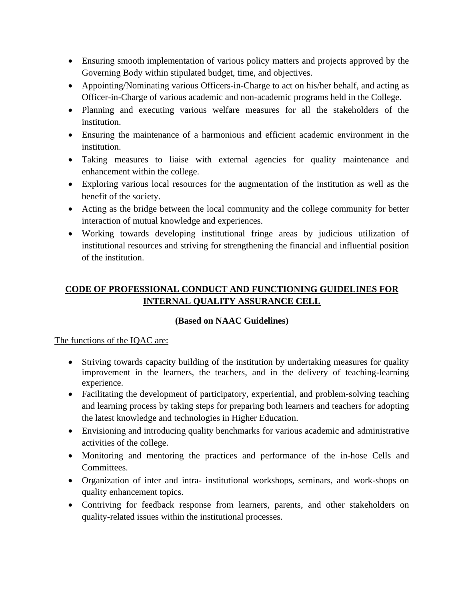- Ensuring smooth implementation of various policy matters and projects approved by the Governing Body within stipulated budget, time, and objectives.
- Appointing/Nominating various Officers-in-Charge to act on his/her behalf, and acting as Officer-in-Charge of various academic and non-academic programs held in the College.
- Planning and executing various welfare measures for all the stakeholders of the institution.
- Ensuring the maintenance of a harmonious and efficient academic environment in the institution.
- Taking measures to liaise with external agencies for quality maintenance and enhancement within the college.
- Exploring various local resources for the augmentation of the institution as well as the benefit of the society.
- Acting as the bridge between the local community and the college community for better interaction of mutual knowledge and experiences.
- Working towards developing institutional fringe areas by judicious utilization of institutional resources and striving for strengthening the financial and influential position of the institution.

# **CODE OF PROFESSIONAL CONDUCT AND FUNCTIONING GUIDELINES FOR INTERNAL QUALITY ASSURANCE CELL**

# **(Based on NAAC Guidelines)**

#### The functions of the IQAC are:

- Striving towards capacity building of the institution by undertaking measures for quality improvement in the learners, the teachers, and in the delivery of teaching-learning experience.
- Facilitating the development of participatory, experiential, and problem-solving teaching and learning process by taking steps for preparing both learners and teachers for adopting the latest knowledge and technologies in Higher Education.
- Envisioning and introducing quality benchmarks for various academic and administrative activities of the college.
- Monitoring and mentoring the practices and performance of the in-hose Cells and Committees.
- Organization of inter and intra- institutional workshops, seminars, and work-shops on quality enhancement topics.
- Contriving for feedback response from learners, parents, and other stakeholders on quality-related issues within the institutional processes.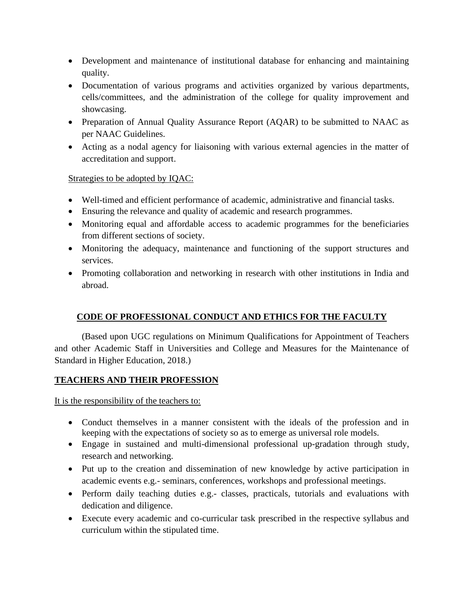- Development and maintenance of institutional database for enhancing and maintaining quality.
- Documentation of various programs and activities organized by various departments, cells/committees, and the administration of the college for quality improvement and showcasing.
- Preparation of Annual Quality Assurance Report (AQAR) to be submitted to NAAC as per NAAC Guidelines.
- Acting as a nodal agency for liaisoning with various external agencies in the matter of accreditation and support.

#### Strategies to be adopted by IQAC:

- Well-timed and efficient performance of academic, administrative and financial tasks.
- Ensuring the relevance and quality of academic and research programmes.
- Monitoring equal and affordable access to academic programmes for the beneficiaries from different sections of society.
- Monitoring the adequacy, maintenance and functioning of the support structures and services.
- Promoting collaboration and networking in research with other institutions in India and abroad.

# **CODE OF PROFESSIONAL CONDUCT AND ETHICS FOR THE FACULTY**

(Based upon UGC regulations on Minimum Qualifications for Appointment of Teachers and other Academic Staff in Universities and College and Measures for the Maintenance of Standard in Higher Education, 2018.)

#### **TEACHERS AND THEIR PROFESSION**

It is the responsibility of the teachers to:

- Conduct themselves in a manner consistent with the ideals of the profession and in keeping with the expectations of society so as to emerge as universal role models.
- Engage in sustained and multi-dimensional professional up-gradation through study, research and networking.
- Put up to the creation and dissemination of new knowledge by active participation in academic events e.g.- seminars, conferences, workshops and professional meetings.
- Perform daily teaching duties e.g.- classes, practicals, tutorials and evaluations with dedication and diligence.
- Execute every academic and co-curricular task prescribed in the respective syllabus and curriculum within the stipulated time.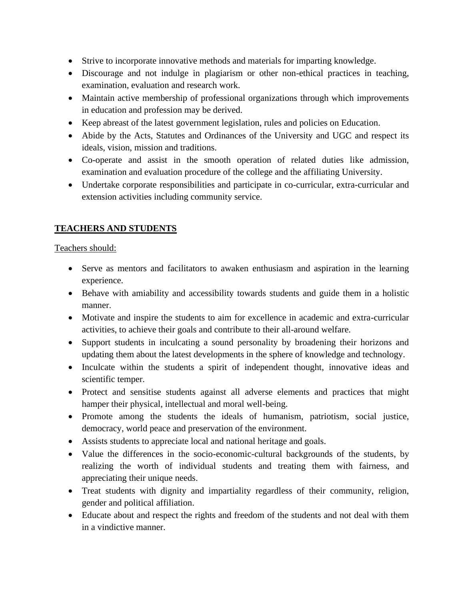- Strive to incorporate innovative methods and materials for imparting knowledge.
- Discourage and not indulge in plagiarism or other non-ethical practices in teaching, examination, evaluation and research work.
- Maintain active membership of professional organizations through which improvements in education and profession may be derived.
- Keep abreast of the latest government legislation, rules and policies on Education.
- Abide by the Acts, Statutes and Ordinances of the University and UGC and respect its ideals, vision, mission and traditions.
- Co-operate and assist in the smooth operation of related duties like admission, examination and evaluation procedure of the college and the affiliating University.
- Undertake corporate responsibilities and participate in co-curricular, extra-curricular and extension activities including community service.

# **TEACHERS AND STUDENTS**

Teachers should:

- Serve as mentors and facilitators to awaken enthusiasm and aspiration in the learning experience.
- Behave with amiability and accessibility towards students and guide them in a holistic manner.
- Motivate and inspire the students to aim for excellence in academic and extra-curricular activities, to achieve their goals and contribute to their all-around welfare.
- Support students in inculcating a sound personality by broadening their horizons and updating them about the latest developments in the sphere of knowledge and technology.
- Inculcate within the students a spirit of independent thought, innovative ideas and scientific temper.
- Protect and sensitise students against all adverse elements and practices that might hamper their physical, intellectual and moral well-being.
- Promote among the students the ideals of humanism, patriotism, social justice, democracy, world peace and preservation of the environment.
- Assists students to appreciate local and national heritage and goals.
- Value the differences in the socio-economic-cultural backgrounds of the students, by realizing the worth of individual students and treating them with fairness, and appreciating their unique needs.
- Treat students with dignity and impartiality regardless of their community, religion, gender and political affiliation.
- Educate about and respect the rights and freedom of the students and not deal with them in a vindictive manner.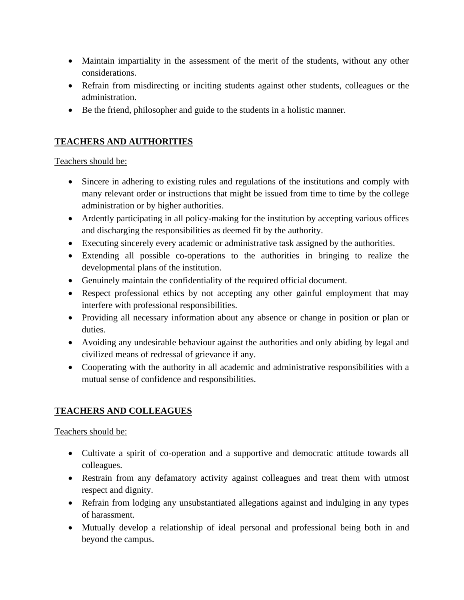- Maintain impartiality in the assessment of the merit of the students, without any other considerations.
- Refrain from misdirecting or inciting students against other students, colleagues or the administration.
- Be the friend, philosopher and guide to the students in a holistic manner.

# **TEACHERS AND AUTHORITIES**

#### Teachers should be:

- Sincere in adhering to existing rules and regulations of the institutions and comply with many relevant order or instructions that might be issued from time to time by the college administration or by higher authorities.
- Ardently participating in all policy-making for the institution by accepting various offices and discharging the responsibilities as deemed fit by the authority.
- Executing sincerely every academic or administrative task assigned by the authorities.
- Extending all possible co-operations to the authorities in bringing to realize the developmental plans of the institution.
- Genuinely maintain the confidentiality of the required official document.
- Respect professional ethics by not accepting any other gainful employment that may interfere with professional responsibilities.
- Providing all necessary information about any absence or change in position or plan or duties.
- Avoiding any undesirable behaviour against the authorities and only abiding by legal and civilized means of redressal of grievance if any.
- Cooperating with the authority in all academic and administrative responsibilities with a mutual sense of confidence and responsibilities.

# **TEACHERS AND COLLEAGUES**

# Teachers should be:

- Cultivate a spirit of co-operation and a supportive and democratic attitude towards all colleagues.
- Restrain from any defamatory activity against colleagues and treat them with utmost respect and dignity.
- Refrain from lodging any unsubstantiated allegations against and indulging in any types of harassment.
- Mutually develop a relationship of ideal personal and professional being both in and beyond the campus.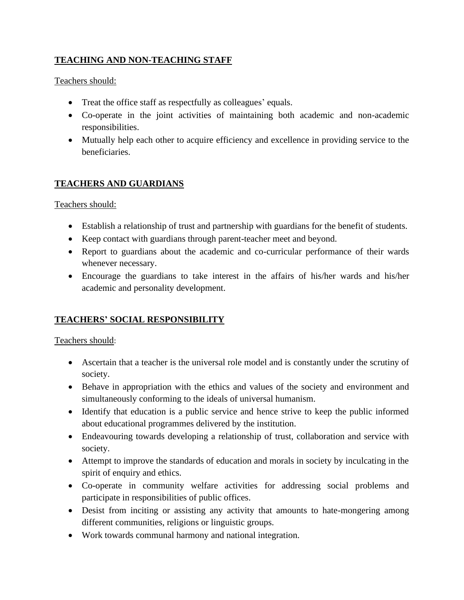# **TEACHING AND NON-TEACHING STAFF**

Teachers should:

- Treat the office staff as respectfully as colleagues' equals.
- Co-operate in the joint activities of maintaining both academic and non-academic responsibilities.
- Mutually help each other to acquire efficiency and excellence in providing service to the beneficiaries.

# **TEACHERS AND GUARDIANS**

Teachers should:

- Establish a relationship of trust and partnership with guardians for the benefit of students.
- Keep contact with guardians through parent-teacher meet and beyond.
- Report to guardians about the academic and co-curricular performance of their wards whenever necessary.
- Encourage the guardians to take interest in the affairs of his/her wards and his/her academic and personality development.

# **TEACHERS' SOCIAL RESPONSIBILITY**

#### Teachers should:

- Ascertain that a teacher is the universal role model and is constantly under the scrutiny of society.
- Behave in appropriation with the ethics and values of the society and environment and simultaneously conforming to the ideals of universal humanism.
- Identify that education is a public service and hence strive to keep the public informed about educational programmes delivered by the institution.
- Endeavouring towards developing a relationship of trust, collaboration and service with society.
- Attempt to improve the standards of education and morals in society by inculcating in the spirit of enquiry and ethics.
- Co-operate in community welfare activities for addressing social problems and participate in responsibilities of public offices.
- Desist from inciting or assisting any activity that amounts to hate-mongering among different communities, religions or linguistic groups.
- Work towards communal harmony and national integration.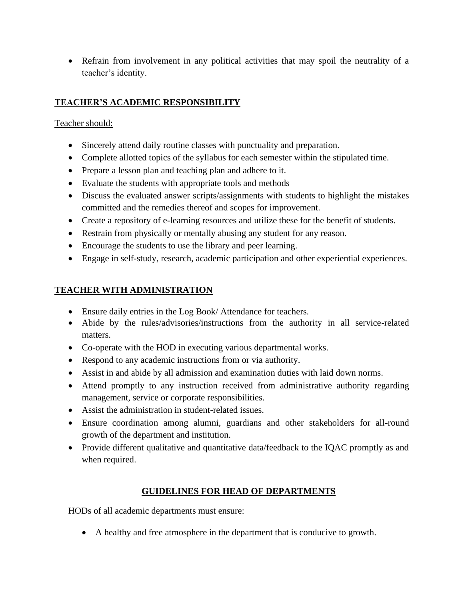• Refrain from involvement in any political activities that may spoil the neutrality of a teacher's identity.

# **TEACHER'S ACADEMIC RESPONSIBILITY**

### Teacher should:

- Sincerely attend daily routine classes with punctuality and preparation.
- Complete allotted topics of the syllabus for each semester within the stipulated time.
- Prepare a lesson plan and teaching plan and adhere to it.
- Evaluate the students with appropriate tools and methods
- Discuss the evaluated answer scripts/assignments with students to highlight the mistakes committed and the remedies thereof and scopes for improvement.
- Create a repository of e-learning resources and utilize these for the benefit of students.
- Restrain from physically or mentally abusing any student for any reason.
- Encourage the students to use the library and peer learning.
- Engage in self-study, research, academic participation and other experiential experiences.

# **TEACHER WITH ADMINISTRATION**

- Ensure daily entries in the Log Book/ Attendance for teachers.
- Abide by the rules/advisories/instructions from the authority in all service-related matters.
- Co-operate with the HOD in executing various departmental works.
- Respond to any academic instructions from or via authority.
- Assist in and abide by all admission and examination duties with laid down norms.
- Attend promptly to any instruction received from administrative authority regarding management, service or corporate responsibilities.
- Assist the administration in student-related issues.
- Ensure coordination among alumni, guardians and other stakeholders for all-round growth of the department and institution.
- Provide different qualitative and quantitative data/feedback to the IQAC promptly as and when required.

# **GUIDELINES FOR HEAD OF DEPARTMENTS**

HODs of all academic departments must ensure:

• A healthy and free atmosphere in the department that is conducive to growth.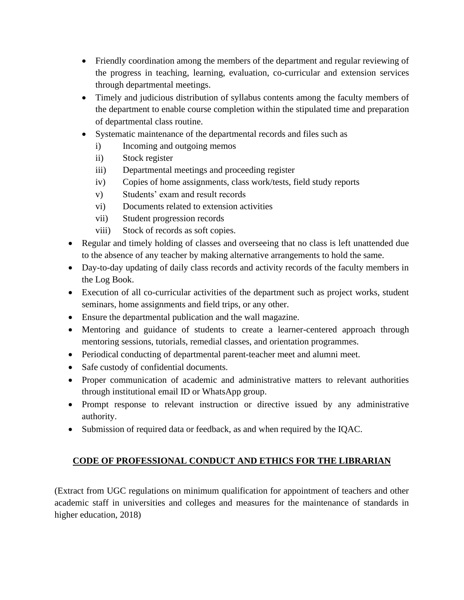- Friendly coordination among the members of the department and regular reviewing of the progress in teaching, learning, evaluation, co-curricular and extension services through departmental meetings.
- Timely and judicious distribution of syllabus contents among the faculty members of the department to enable course completion within the stipulated time and preparation of departmental class routine.
- Systematic maintenance of the departmental records and files such as
	- i) Incoming and outgoing memos
	- ii) Stock register
	- iii) Departmental meetings and proceeding register
	- iv) Copies of home assignments, class work/tests, field study reports
	- v) Students' exam and result records
	- vi) Documents related to extension activities
	- vii) Student progression records
	- viii) Stock of records as soft copies.
- Regular and timely holding of classes and overseeing that no class is left unattended due to the absence of any teacher by making alternative arrangements to hold the same.
- Day-to-day updating of daily class records and activity records of the faculty members in the Log Book.
- Execution of all co-curricular activities of the department such as project works, student seminars, home assignments and field trips, or any other.
- Ensure the departmental publication and the wall magazine.
- Mentoring and guidance of students to create a learner-centered approach through mentoring sessions, tutorials, remedial classes, and orientation programmes.
- Periodical conducting of departmental parent-teacher meet and alumni meet.
- Safe custody of confidential documents.
- Proper communication of academic and administrative matters to relevant authorities through institutional email ID or WhatsApp group.
- Prompt response to relevant instruction or directive issued by any administrative authority.
- Submission of required data or feedback, as and when required by the IQAC.

# **CODE OF PROFESSIONAL CONDUCT AND ETHICS FOR THE LIBRARIAN**

(Extract from UGC regulations on minimum qualification for appointment of teachers and other academic staff in universities and colleges and measures for the maintenance of standards in higher education, 2018)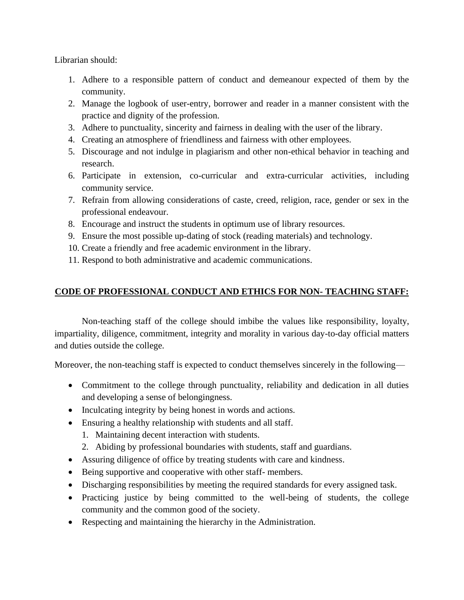Librarian should:

- 1. Adhere to a responsible pattern of conduct and demeanour expected of them by the community.
- 2. Manage the logbook of user-entry, borrower and reader in a manner consistent with the practice and dignity of the profession.
- 3. Adhere to punctuality, sincerity and fairness in dealing with the user of the library.
- 4. Creating an atmosphere of friendliness and fairness with other employees.
- 5. Discourage and not indulge in plagiarism and other non-ethical behavior in teaching and research.
- 6. Participate in extension, co-curricular and extra-curricular activities, including community service.
- 7. Refrain from allowing considerations of caste, creed, religion, race, gender or sex in the professional endeavour.
- 8. Encourage and instruct the students in optimum use of library resources.
- 9. Ensure the most possible up-dating of stock (reading materials) and technology.
- 10. Create a friendly and free academic environment in the library.
- 11. Respond to both administrative and academic communications.

# **CODE OF PROFESSIONAL CONDUCT AND ETHICS FOR NON- TEACHING STAFF:**

Non-teaching staff of the college should imbibe the values like responsibility, loyalty, impartiality, diligence, commitment, integrity and morality in various day-to-day official matters and duties outside the college.

Moreover, the non-teaching staff is expected to conduct themselves sincerely in the following—

- Commitment to the college through punctuality, reliability and dedication in all duties and developing a sense of belongingness.
- Inculcating integrity by being honest in words and actions.
- Ensuring a healthy relationship with students and all staff.
	- 1. Maintaining decent interaction with students.
	- 2. Abiding by professional boundaries with students, staff and guardians.
- Assuring diligence of office by treating students with care and kindness.
- Being supportive and cooperative with other staff-members.
- Discharging responsibilities by meeting the required standards for every assigned task.
- Practicing justice by being committed to the well-being of students, the college community and the common good of the society.
- Respecting and maintaining the hierarchy in the Administration.